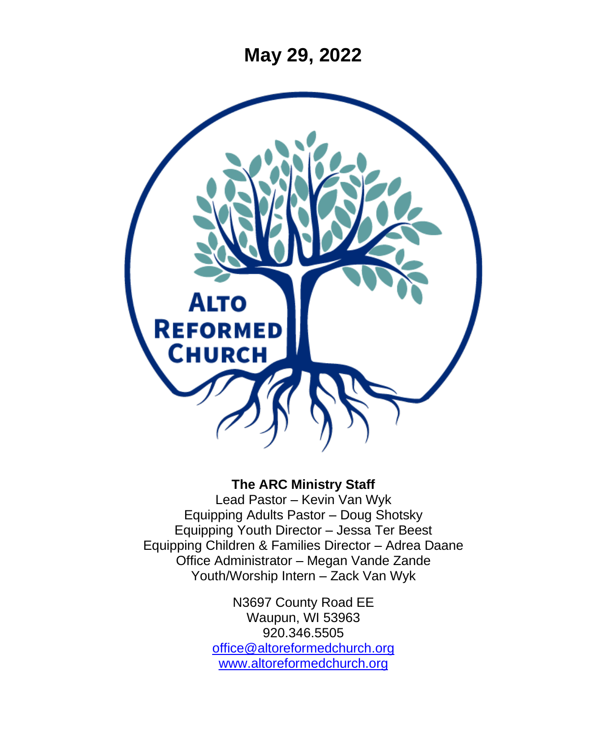**May 29, 2022**



#### **The ARC Ministry Staff**

Lead Pastor – Kevin Van Wyk Equipping Adults Pastor – Doug Shotsky Equipping Youth Director – Jessa Ter Beest Equipping Children & Families Director – Adrea Daane Office Administrator – Megan Vande Zande Youth/Worship Intern – Zack Van Wyk

> N3697 County Road EE Waupun, WI 53963 920.346.5505 [office@altoreformedchurch.org](mailto:office@altoreformedchurch.org) [www.altoreformedchurch.org](http://www.altoreformedchurch.org/)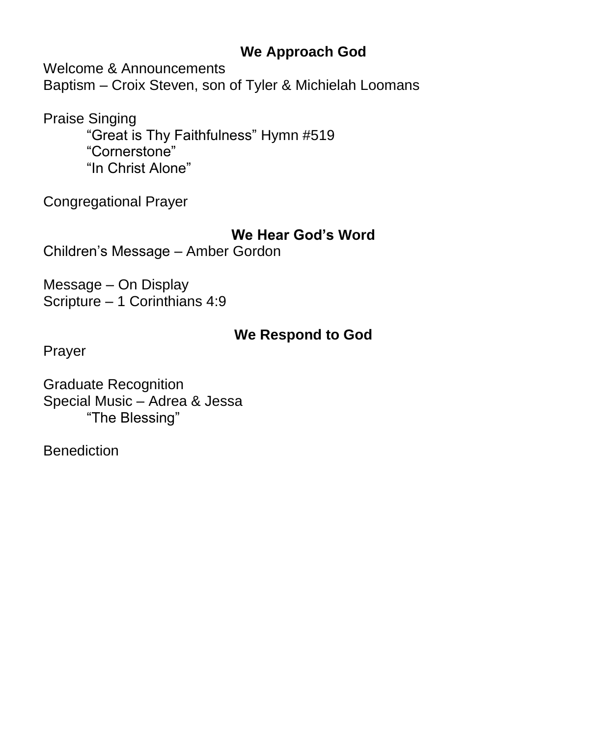### **We Approach God**

Welcome & Announcements

Baptism – Croix Steven, son of Tyler & Michielah Loomans

Praise Singing

"Great is Thy Faithfulness" Hymn #519 "Cornerstone" "In Christ Alone"

Congregational Prayer

#### **We Hear God's Word**

Children's Message – Amber Gordon

Message – On Display Scripture – 1 Corinthians 4:9

### **We Respond to God**

Prayer

Graduate Recognition Special Music – Adrea & Jessa "The Blessing"

**Benediction**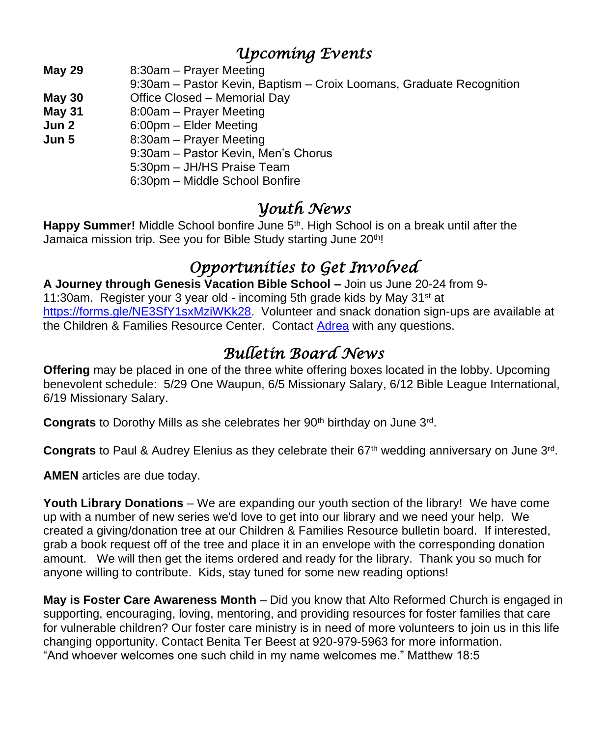## *Upcoming Events*

- **May 29** 8:30am Prayer Meeting
- 9:30am Pastor Kevin, Baptism Croix Loomans, Graduate Recognition
- **May 30** Office Closed Memorial Day
- **May 31** 8:00am Prayer Meeting
- **Jun 2** 6:00pm Elder Meeting
- **Jun 5** 8:30am Prayer Meeting
	- 9:30am Pastor Kevin, Men's Chorus
	- 5:30pm JH/HS Praise Team
	- 6:30pm Middle School Bonfire

## *Youth News*

**Happy Summer!** Middle School bonfire June 5th. High School is on a break until after the Jamaica mission trip. See you for Bible Study starting June 20<sup>th</sup>!

# *Opportunities to Get Involved*

**A Journey through Genesis Vacation Bible School –** Join us June 20-24 from 9- 11:30am. Register your 3 year old - incoming 5th grade kids by May 31 $\mathrm{st}$  at [https://forms.gle/NE3SfY1sxMziWKk28.](https://nam12.safelinks.protection.outlook.com/?url=https%3A%2F%2Fforms.gle%2FNE3SfY1sxMziWKk28&data=05%7C01%7C%7C0788ca9993c348dddb6a08da287e6224%7C84df9e7fe9f640afb435aaaaaaaaaaaa%7C1%7C0%7C637866820524786632%7CUnknown%7CTWFpbGZsb3d8eyJWIjoiMC4wLjAwMDAiLCJQIjoiV2luMzIiLCJBTiI6Ik1haWwiLCJXVCI6Mn0%3D%7C3000%7C%7C%7C&sdata=4R5wretttGAg20bIB87jeLZNIqY2V0VZ14rFZ7FgROg%3D&reserved=0) Volunteer and snack donation sign-ups are available at the Children & Families Resource Center. Contact [Adrea](mailto:adrea@altoreformedchurch.org) with any questions.

# *Bulletin Board News*

**Offering** may be placed in one of the three white offering boxes located in the lobby. Upcoming benevolent schedule: 5/29 One Waupun, 6/5 Missionary Salary, 6/12 Bible League International, 6/19 Missionary Salary.

Congrats to Dorothy Mills as she celebrates her 90<sup>th</sup> birthday on June 3<sup>rd</sup>.

Congrats to Paul & Audrey Elenius as they celebrate their 67<sup>th</sup> wedding anniversary on June 3<sup>rd</sup>.

**AMEN** articles are due today.

**Youth Library Donations** – We are expanding our youth section of the library! We have come up with a number of new series we'd love to get into our library and we need your help. We created a giving/donation tree at our Children & Families Resource bulletin board. If interested, grab a book request off of the tree and place it in an envelope with the corresponding donation amount. We will then get the items ordered and ready for the library. Thank you so much for anyone willing to contribute. Kids, stay tuned for some new reading options!

**May is Foster Care Awareness Month** – Did you know that Alto Reformed Church is engaged in supporting, encouraging, loving, mentoring, and providing resources for foster families that care for vulnerable children? Our foster care ministry is in need of more volunteers to join us in this life changing opportunity. Contact Benita Ter Beest at 920-979-5963 for more information. "And whoever welcomes one such child in my name welcomes me." Matthew 18:5